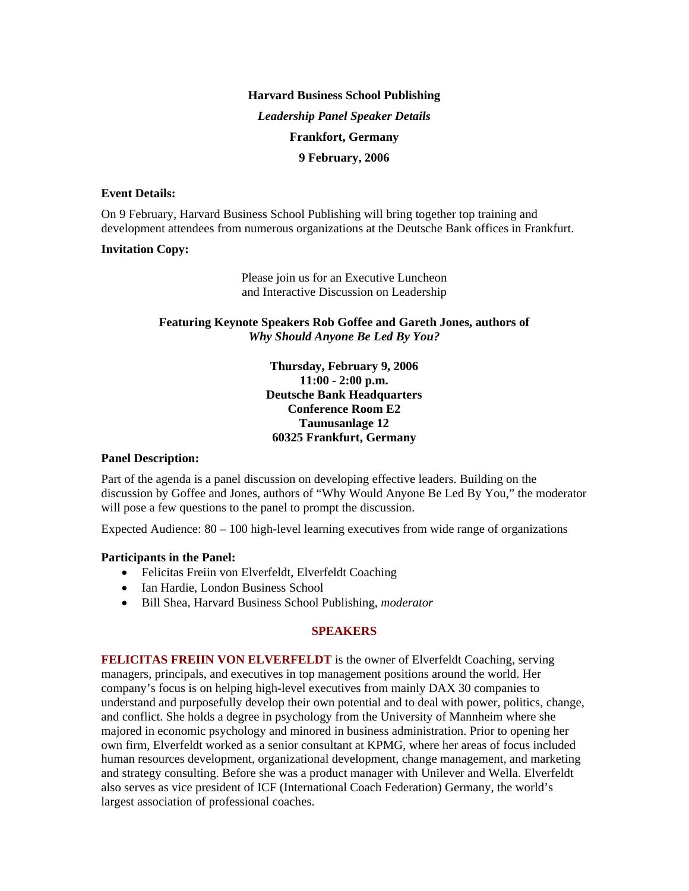# **Harvard Business School Publishing**  *Leadership Panel Speaker Details*  **Frankfort, Germany 9 February, 2006**

## **Event Details:**

On 9 February, Harvard Business School Publishing will bring together top training and development attendees from numerous organizations at the Deutsche Bank offices in Frankfurt.

#### **Invitation Copy:**

Please join us for an Executive Luncheon and Interactive Discussion on Leadership

## **Featuring Keynote Speakers Rob Goffee and Gareth Jones, authors of**  *Why Should Anyone Be Led By You?*

**Thursday, February 9, 2006 11:00 - 2:00 p.m. Deutsche Bank Headquarters Conference Room E2 Taunusanlage 12 60325 Frankfurt, Germany**

## **Panel Description:**

Part of the agenda is a panel discussion on developing effective leaders. Building on the discussion by Goffee and Jones, authors of "Why Would Anyone Be Led By You," the moderator will pose a few questions to the panel to prompt the discussion.

Expected Audience:  $80 - 100$  high-level learning executives from wide range of organizations

## **Participants in the Panel:**

- Felicitas Freiin von Elverfeldt, Elverfeldt Coaching
- Ian Hardie, London Business School
- Bill Shea, Harvard Business School Publishing, *moderator*

## **SPEAKERS**

**FELICITAS FREIIN VON ELVERFELDT** is the owner of Elverfeldt Coaching, serving managers, principals, and executives in top management positions around the world. Her company's focus is on helping high-level executives from mainly DAX 30 companies to understand and purposefully develop their own potential and to deal with power, politics, change, and conflict. She holds a degree in psychology from the University of Mannheim where she majored in economic psychology and minored in business administration. Prior to opening her own firm, Elverfeldt worked as a senior consultant at KPMG, where her areas of focus included human resources development, organizational development, change management, and marketing and strategy consulting. Before she was a product manager with Unilever and Wella. Elverfeldt also serves as vice president of ICF (International Coach Federation) Germany, the world's largest association of professional coaches.